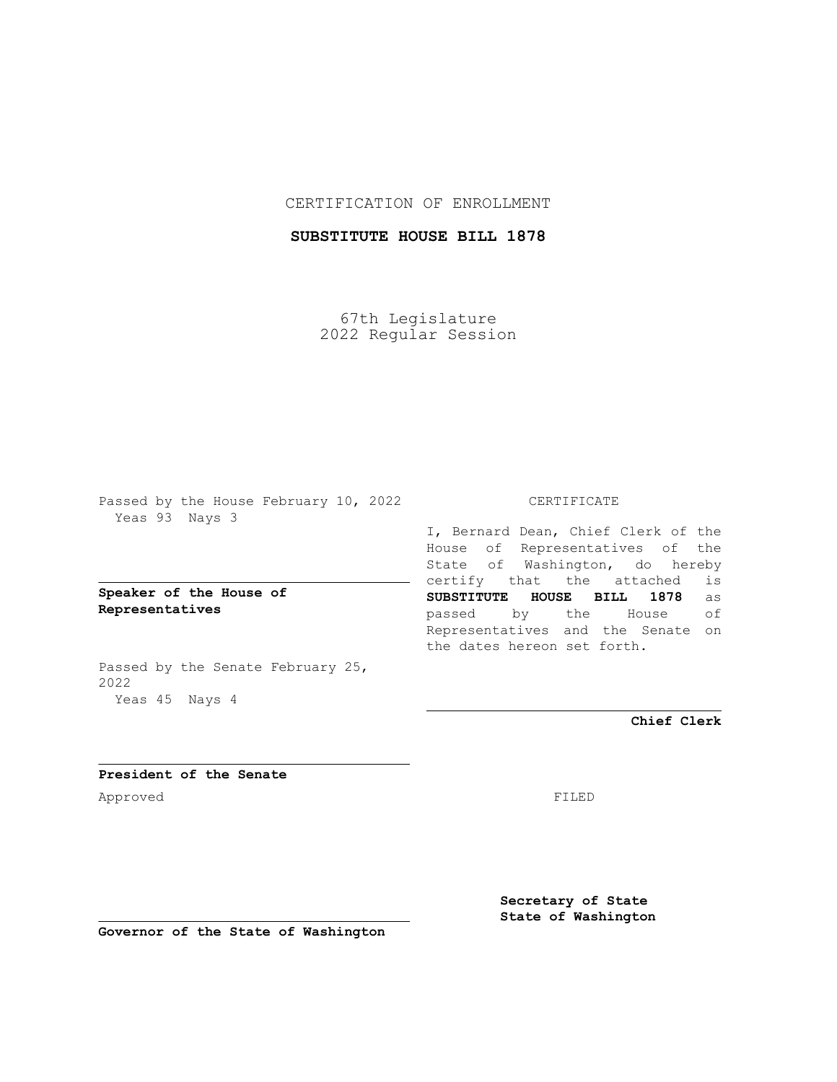## CERTIFICATION OF ENROLLMENT

# **SUBSTITUTE HOUSE BILL 1878**

67th Legislature 2022 Regular Session

Passed by the House February 10, 2022 Yeas 93 Nays 3

**Speaker of the House of Representatives**

Passed by the Senate February 25, 2022 Yeas 45 Nays 4

#### CERTIFICATE

I, Bernard Dean, Chief Clerk of the House of Representatives of the State of Washington, do hereby certify that the attached is **SUBSTITUTE HOUSE BILL 1878** as passed by the House of Representatives and the Senate on the dates hereon set forth.

**Chief Clerk**

**President of the Senate** Approved FILED

**Secretary of State State of Washington**

**Governor of the State of Washington**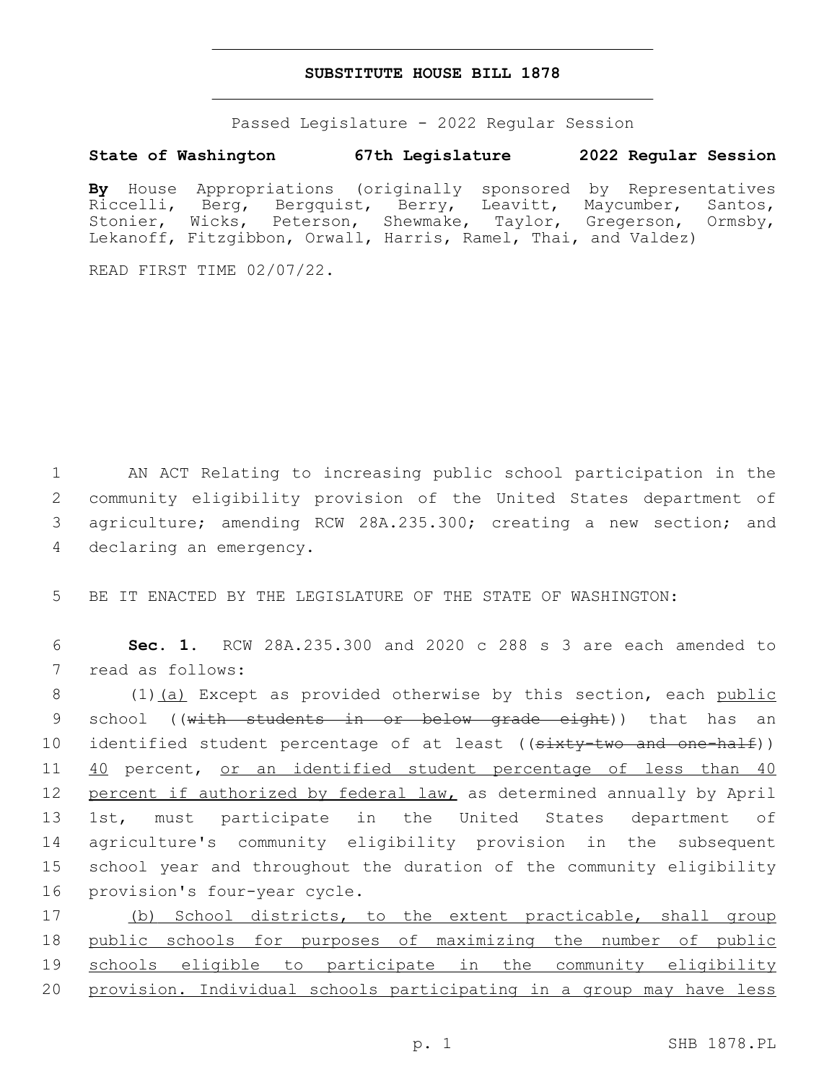### **SUBSTITUTE HOUSE BILL 1878**

Passed Legislature - 2022 Regular Session

### **State of Washington 67th Legislature 2022 Regular Session**

**By** House Appropriations (originally sponsored by Representatives Riccelli, Berg, Bergquist, Berry, Leavitt, Maycumber, Santos, Stonier, Wicks, Peterson, Shewmake, Taylor, Gregerson, Ormsby, Lekanoff, Fitzgibbon, Orwall, Harris, Ramel, Thai, and Valdez)

READ FIRST TIME 02/07/22.

 AN ACT Relating to increasing public school participation in the community eligibility provision of the United States department of agriculture; amending RCW 28A.235.300; creating a new section; and 4 declaring an emergency.

5 BE IT ENACTED BY THE LEGISLATURE OF THE STATE OF WASHINGTON:

6 **Sec. 1.** RCW 28A.235.300 and 2020 c 288 s 3 are each amended to 7 read as follows:

8 (1)(a) Except as provided otherwise by this section, each public 9 school ((with students in or below grade eight)) that has an 10 identified student percentage of at least ((sixty-two and one-half)) 11 40 percent, or an identified student percentage of less than 40 12 percent if authorized by federal law, as determined annually by April 13 1st, must participate in the United States department of 14 agriculture's community eligibility provision in the subsequent 15 school year and throughout the duration of the community eligibility 16 provision's four-year cycle.

17 (b) School districts, to the extent practicable, shall group public schools for purposes of maximizing the number of public schools eligible to participate in the community eligibility provision. Individual schools participating in a group may have less